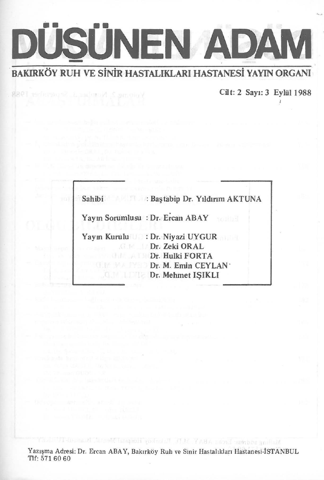

Yoinme.2, Number, 1, September 1988

Cilt: 2 Sayt: 3 Eyliil 1988

 $\lambda$ 

| Sahibi : Baştabip Dr. Yıldırım AKTUNA |
|---------------------------------------|
| Yayın Sorumlusu : Dr. Ercan ABAY      |
| Yayın Kurulu : Dr. Niyazi UYGUR       |
| <b>Dr. Zeki ORAL</b>                  |
| <b>Dr. Hulki FORTA</b>                |
| Dr. M. Emin CEYLAN                    |
| Dr. Mehmet ISIKLI                     |

Yazışma Adresi: Dr. Ercan ABAY, Bakırköy Ruh ve Sinir Hastalıkları Hastanesi-İSTANBUL Tlf: 571 60 60

Maling seidess Leeal ABAY M. Natarkoy Hospital Menu A Island-TUTLL Star

provided to the company of the many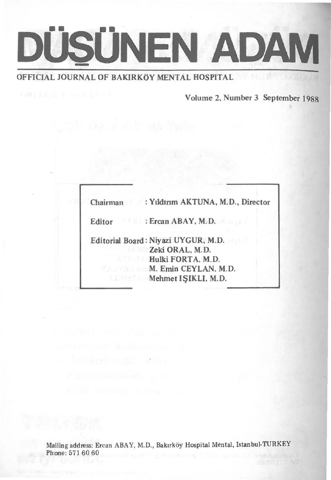

© Astikythsond n€ha

Volume 2, Number 3 September 1988

| Chairman : Yıldırım AKTUNA, M.D., Director                                                                                 |
|----------------------------------------------------------------------------------------------------------------------------|
| Editor : Ercan ABAY, M.D.                                                                                                  |
| Editorial Board: Niyazi UYGUR, M.D.<br>Zeki ORAL, M.D.<br>Hulki FORTA, M.D.<br>M. Emin CEYLAN, M.D.<br>Mehmet ISIKLI, M.D. |

Mailing address: Ercan ABAY, M.D., Bakırköy Hospital Mental, Istanbul-TURKEY Phone: 571 60 60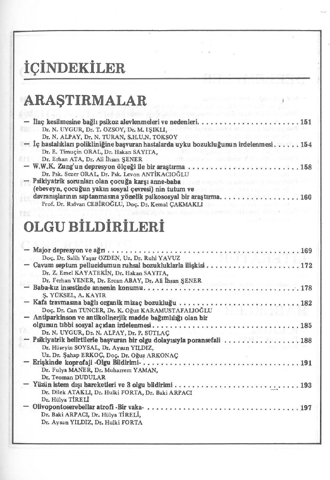# **iCiNDEKİLER**

# **ARASTIRMALAR**

| into favors arriver les spirituristan<br>Dr. N. UYGUR, Dr. T. ÖZSOY, Dr. M. IŞIKLI,                                                                                    |
|------------------------------------------------------------------------------------------------------------------------------------------------------------------------|
| Dr. N. ALPAY, Dr. N. TURAN, S.H.U.N. TOKSOY<br>- İç hastalıkları polikliniğine başvuran hastalarda uyku bozukluğunun irdelenmesi 154                                   |
| Dr. E. Timuçin ORAL, Dr. Hakan SAYITA,                                                                                                                                 |
| auld eliminatorien deli cadria elektric<br>Dr. Erhan ATA, Dr. Ali İhsan SENER                                                                                          |
|                                                                                                                                                                        |
| Dr. Psk. Sezer ORAL, Dr. Psk. Levon ANTİKACIOĞLU                                                                                                                       |
| - Psikiyatrik sorunları olan çocuğa karşı anne-baba a soci besteklerinde bakı sorunları tarihi bir bir bir bir<br>(ebeveyn, çocuğun yakın sosyal çevresi) nin tutum ve |
| davranışlarının saptanmasına yönelik psikososyal bir araştırma160                                                                                                      |
| Prof. Dr. Ridvan CEBİROĞLU, Doç. Dr. Kemal ÇAKMAKLI                                                                                                                    |
| ted often a herest subiness. This is taken                                                                                                                             |
|                                                                                                                                                                        |
| <b>OLGU BİLDİRİLERİ</b>                                                                                                                                                |
|                                                                                                                                                                        |
|                                                                                                                                                                        |
| Doç, Dr, Salih Yaşar ÖZDEN, Uz, Dr, Ruhi YAVUZ                                                                                                                         |
|                                                                                                                                                                        |
| Dr. Z. Emel KAYATEKİN, Dr. Hakan SAYITA,                                                                                                                               |
|                                                                                                                                                                        |
|                                                                                                                                                                        |
| S. YÜKSEL, A. KAYIR                                                                                                                                                    |
| Doç, Dr. Can TUNCER, Dr. K. Oğuz KARAMUSTAFALIOĞLU                                                                                                                     |
| Antiparkinson ve antikolinerjik madde bağımlılığı olan bir                                                                                                             |
|                                                                                                                                                                        |
| Dr. N. UYGUR, Dr. N. ALPAY, Dr. P. SÜTLAC<br><b>Which is a structure of the con-</b>                                                                                   |
| - Psikiyatrik belirtilerle başvuran bir olgu dolayısıyla poransefali 188                                                                                               |
| Dr. Hüseyin SOYSAL, Dr. Aysun YILDIZ,                                                                                                                                  |
| Uz. Dr. Şahap ERKOÇ, Doç. Dr. Oğuz ARKONAÇ                                                                                                                             |
| Dr. Fulya MANER, Dr. Muharrem YAMAN,                                                                                                                                   |
| Dr. Teoman DUDULAR                                                                                                                                                     |
|                                                                                                                                                                        |
| Dr. Dilek ATAKLI, Dr. Hulki FORTA, Dr. Baki ARPACI                                                                                                                     |
| Dr. Hülya TİRELİ                                                                                                                                                       |

| DI, HUIVA LINDLI                   |  |  |  |  |  |  |  |  |  |  |  |  |  |  |
|------------------------------------|--|--|--|--|--|--|--|--|--|--|--|--|--|--|
| Dr. Baki ARPACI, Dr. Hülya TİRELİ, |  |  |  |  |  |  |  |  |  |  |  |  |  |  |
| Dr. Aysun YILDIZ, Dr. Hulki FORTA  |  |  |  |  |  |  |  |  |  |  |  |  |  |  |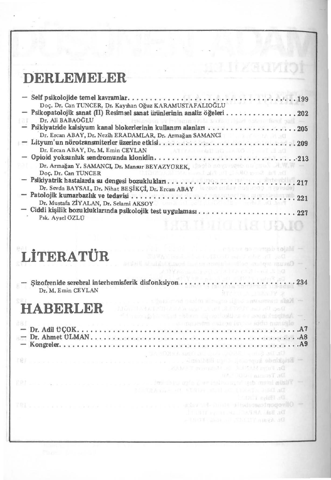### **DERLEMELER**

| Doç, Dr, Can TUNCER, Dr, Kayıhan Oğuz KARAMUSTAFALIOĞLU                                                                                                                                                                        |
|--------------------------------------------------------------------------------------------------------------------------------------------------------------------------------------------------------------------------------|
| - Psikopatolojik sanat (II) Resimsel sanat ürünlerinin analiz öğeleri  202                                                                                                                                                     |
| Dr. Ali BABAOĞLU<br>The local subset had the dealers decreed by observed and self-                                                                                                                                             |
|                                                                                                                                                                                                                                |
| Dr. Ercan ABAY, Dr. Nezih ERADAMLAR, Dr. Armağan SAMANCI                                                                                                                                                                       |
|                                                                                                                                                                                                                                |
| Dr. Ercan ABAY, Dr. M. Emin CEYLAN All Andrea Martin Company of the Company of the Company of the Company of the Company of the Company of the Company of the Company of the Company of the Company of the Company of the Comp |
| - Opioid yoksunluk sendromunda klonidin213                                                                                                                                                                                     |
| Dr. Armağan Y. SAMANCI, Dr. Mansur BEYAZYÜREK, Carolin adaptadır. M. W. W.                                                                                                                                                     |
| The Bat Seed ORG In the Land and The Collection<br>Doc. Dr. Can TUNCER                                                                                                                                                         |
| - Psikiyatrik hastalarda su dengesi bozuklukları217                                                                                                                                                                            |
| Dr. Sevda BAYSAL, Dr. Nihat BEŞİKÇİ, Dr. Ercan ABAY                                                                                                                                                                            |
|                                                                                                                                                                                                                                |
| Dr. Mustafa ZİYALAN, Dr. Selami AKSOY                                                                                                                                                                                          |
|                                                                                                                                                                                                                                |
| Psk. Aysel ÖZLÜ                                                                                                                                                                                                                |
|                                                                                                                                                                                                                                |

# **LiTERATUR**

| - Sizofrenide serebral interhemisferik disfonksiyon234<br>Dr. M. Emin CEYLAN |  |  |  |  |  |  |  |  |  |  |
|------------------------------------------------------------------------------|--|--|--|--|--|--|--|--|--|--|
|                                                                              |  |  |  |  |  |  |  |  |  |  |

Major do montebal of all

Catalogue maintenance est anno 1000 de la 2004 de la Universitat D

s bottomno passion al magno signo antesservant place

#### **HABERLER**

| University of Story decisions and MD in the<br><b>THE STATE OR ANTI-TELL AND STATES AND STATES OF A STATE OF A STATE OF A STATE OF A STATE OF A STATE OF A STATE</b><br>Br. File M.M. & British More T-ONE &<br>Dr. Teuman adul 10 bit |
|----------------------------------------------------------------------------------------------------------------------------------------------------------------------------------------------------------------------------------------|
| The UP A visit off of The color and an English a soldied<br><b>CONTRACTOR</b>                                                                                                                                                          |
| Dr. Ball, ARPAC, De JE NY THUT I<br>De Avann VIS DIN and Julia Bibliotta                                                                                                                                                               |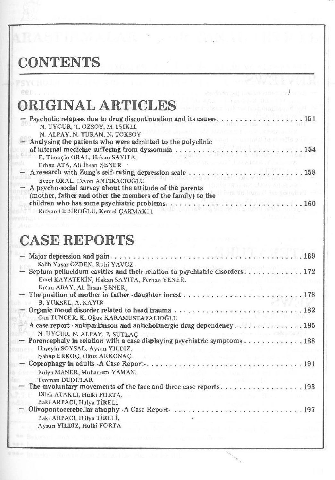### **CONTENTS**

eer.

|  |  |  | <b>ORIGINAL ARTICLES</b> |  |  |  |  |
|--|--|--|--------------------------|--|--|--|--|
|--|--|--|--------------------------|--|--|--|--|

| N. UYGUR, T. ÖZSOY, M. IŞIKLI,                                                                 |
|------------------------------------------------------------------------------------------------|
| 计计算机化验程序 计网络无线圈的复数 计同步类<br>N. ALPAY, N. TURAN, N. TOKSOY                                       |
| ris compating to all sales an<br>- Analysing the patients who were admitted to the polyclinic  |
| of internal medicine suffering from dyssomnia 154                                              |
| E. Timuçin ORAL, Hakan SAYITA,                                                                 |
| and a straightful and a straight<br><b>DOMESTIC: NEW</b><br>Erhan ATA, Ali İhsan SENER         |
|                                                                                                |
| Sezer ORAL, L'evon ANTIKACIOĞLU                                                                |
| TROUGH TENU ARGENT<br>- A psycho-social survey about the attitude of the parents               |
| The Utilities of the Smiralin I<br>(mother, father and other the members of the family) to the |
|                                                                                                |
| Ridvan CEBİROĞLU, Kemal CAKMAKLI                                                               |

### **CASE REPORTS**

| Salih Yaşar ÖZDEN, Ruhi YAVUZ                                                                                                                             |
|-----------------------------------------------------------------------------------------------------------------------------------------------------------|
| - Septum pellucidum cavities and their relation to psychiatric disorders172<br>Emel KAYATEKIN, Hakan SAYITA, Ferhan YENER,<br>Ercan ABAY, Ali İhsan ŞENER |
| S. YÜKSEL, A. KAYIR                                                                                                                                       |
| Can TUNCER, K. Oğuz KARAMUSTAFALIOĞLU                                                                                                                     |
| N. UYGUR, N. ALPAY, P. SÜTLAC                                                                                                                             |
| - Porencephaly in relation with a case displaying psychiatric symptoms 188<br>Hüseyin SOYSAL, Aysun YILDIZ,                                               |
| Şahap ERKOÇ, Oğuz ARKONAÇ<br>- Coprophagy in adults $-A$ Case Report $\ldots, \ldots, \ldots, \ldots, \ldots, \ldots, \ldots, \ldots, 191$                |
| Fulya MANER, Muharrem YAMAN,<br>Teoman DUDULAR                                                                                                            |
| Dilek ATAKLI, Hulki FORTA.                                                                                                                                |
| Baki ARPACI, Hülya TİRELİ                                                                                                                                 |
| Baki ARPACI, Hülya TİRELİ,<br>Aysun YILDIZ, Hulki FORTA                                                                                                   |